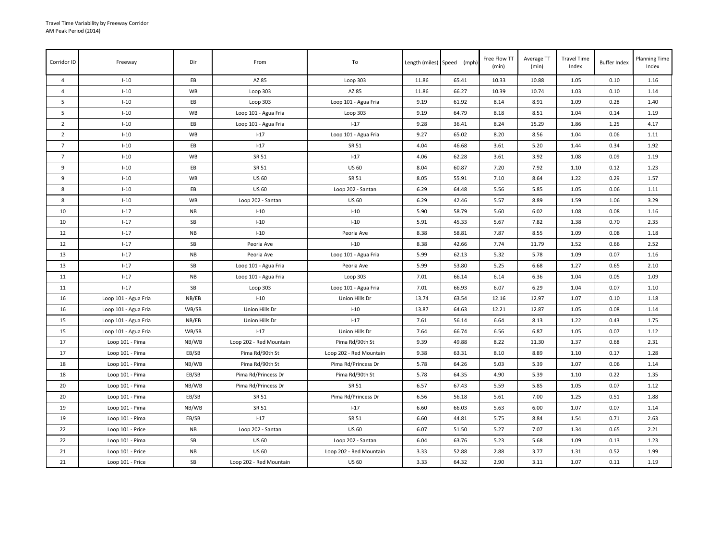| Corridor ID    | Freeway              | Dir        | From                    | To                      |       | Length (miles) Speed (mph) | Free Flow TT<br>(min) | Average TT<br>(min) | <b>Travel Time</b><br>Index | <b>Buffer Index</b> | <b>Planning Time</b><br>Index |
|----------------|----------------------|------------|-------------------------|-------------------------|-------|----------------------------|-----------------------|---------------------|-----------------------------|---------------------|-------------------------------|
| $\overline{4}$ | $I-10$               | EB         | AZ 85                   | Loop 303                | 11.86 | 65.41                      | 10.33                 | 10.88               | 1.05                        | 0.10                | 1.16                          |
| $\overline{4}$ | $I-10$               | WB         | Loop 303                | AZ 85                   | 11.86 | 66.27                      | 10.39                 | 10.74               | 1.03                        | 0.10                | 1.14                          |
| 5              | $I-10$               | EB         | Loop $303$              | Loop 101 - Agua Fria    | 9.19  | 61.92                      | 8.14                  | 8.91                | 1.09                        | 0.28                | 1.40                          |
| 5              | $I-10$               | WB         | Loop 101 - Agua Fria    | Loop 303                | 9.19  | 64.79                      | 8.18                  | 8.51                | 1.04                        | 0.14                | 1.19                          |
| $\overline{2}$ | $I-10$               | EB         | Loop 101 - Agua Fria    | $I - 17$                | 9.28  | 36.41                      | 8.24                  | 15.29               | 1.86                        | 1.25                | 4.17                          |
| $\overline{2}$ | $I-10$               | WB         | $I - 17$                | Loop 101 - Agua Fria    | 9.27  | 65.02                      | 8.20                  | 8.56                | 1.04                        | 0.06                | 1.11                          |
| $\overline{7}$ | $I-10$               | EB         | $I-17$                  | SR 51                   | 4.04  | 46.68                      | 3.61                  | 5.20                | 1.44                        | 0.34                | 1.92                          |
| $\overline{7}$ | $I-10$               | WB         | SR 51                   | $I - 17$                | 4.06  | 62.28                      | 3.61                  | 3.92                | 1.08                        | 0.09                | 1.19                          |
| 9              | $I-10$               | EB         | SR 51                   | <b>US 60</b>            | 8.04  | 60.87                      | 7.20                  | 7.92                | 1.10                        | 0.12                | 1.23                          |
| 9              | $I-10$               | WB         | <b>US 60</b>            | SR 51                   | 8.05  | 55.91                      | 7.10                  | 8.64                | 1.22                        | 0.29                | 1.57                          |
| 8              | $I-10$               | EB         | <b>US 60</b>            | Loop 202 - Santan       | 6.29  | 64.48                      | 5.56                  | 5.85                | 1.05                        | 0.06                | 1.11                          |
| 8              | $I-10$               | WB         | Loop 202 - Santan       | <b>US 60</b>            | 6.29  | 42.46                      | 5.57                  | 8.89                | 1.59                        | 1.06                | 3.29                          |
| 10             | $I-17$               | <b>NB</b>  | $I-10$                  | $I-10$                  | 5.90  | 58.79                      | 5.60                  | 6.02                | 1.08                        | 0.08                | 1.16                          |
| 10             | $I-17$               | SB         | $I-10$                  | $I-10$                  | 5.91  | 45.33                      | 5.67                  | 7.82                | 1.38                        | 0.70                | 2.35                          |
| 12             | $I-17$               | ${\sf NB}$ | $I-10$                  | Peoria Ave              | 8.38  | 58.81                      | 7.87                  | 8.55                | 1.09                        | 0.08                | 1.18                          |
| 12             | $I-17$               | SB         | Peoria Ave              | $I-10$                  | 8.38  | 42.66                      | 7.74                  | 11.79               | 1.52                        | 0.66                | 2.52                          |
| 13             | $1 - 17$             | <b>NB</b>  | Peoria Ave              | Loop 101 - Agua Fria    | 5.99  | 62.13                      | 5.32                  | 5.78                | 1.09                        | 0.07                | 1.16                          |
| 13             | $1 - 17$             | SB         | Loop 101 - Agua Fria    | Peoria Ave              | 5.99  | 53.80                      | 5.25                  | 6.68                | 1.27                        | 0.65                | 2.10                          |
| 11             | $I - 17$             | <b>NB</b>  | Loop 101 - Agua Fria    | Loop 303                | 7.01  | 66.14                      | 6.14                  | 6.36                | 1.04                        | 0.05                | 1.09                          |
| 11             | $1 - 17$             | SB         | Loop 303                | Loop 101 - Agua Fria    | 7.01  | 66.93                      | 6.07                  | 6.29                | 1.04                        | 0.07                | 1.10                          |
| 16             | Loop 101 - Agua Fria | NB/EB      | $I-10$                  | Union Hills Dr          | 13.74 | 63.54                      | 12.16                 | 12.97               | 1.07                        | 0.10                | 1.18                          |
| 16             | Loop 101 - Agua Fria | WB/SB      | Union Hills Dr          | $I-10$                  | 13.87 | 64.63                      | 12.21                 | 12.87               | 1.05                        | 0.08                | 1.14                          |
| 15             | Loop 101 - Agua Fria | NB/EB      | Union Hills Dr          | $I - 17$                | 7.61  | 56.14                      | 6.64                  | 8.13                | 1.22                        | 0.43                | 1.75                          |
| 15             | Loop 101 - Agua Fria | WB/SB      | $1 - 17$                | Union Hills Dr          | 7.64  | 66.74                      | 6.56                  | 6.87                | 1.05                        | 0.07                | 1.12                          |
| 17             | Loop 101 - Pima      | NB/WB      | Loop 202 - Red Mountain | Pima Rd/90th St         | 9.39  | 49.88                      | 8.22                  | 11.30               | 1.37                        | 0.68                | 2.31                          |
| 17             | Loop 101 - Pima      | EB/SB      | Pima Rd/90th St         | Loop 202 - Red Mountain | 9.38  | 63.31                      | 8.10                  | 8.89                | 1.10                        | 0.17                | 1.28                          |
| 18             | Loop 101 - Pima      | NB/WB      | Pima Rd/90th St         | Pima Rd/Princess Dr     | 5.78  | 64.26                      | 5.03                  | 5.39                | 1.07                        | 0.06                | 1.14                          |
| 18             | Loop 101 - Pima      | EB/SB      | Pima Rd/Princess Dr     | Pima Rd/90th St         | 5.78  | 64.35                      | 4.90                  | 5.39                | 1.10                        | 0.22                | 1.35                          |
| 20             | Loop 101 - Pima      | NB/WB      | Pima Rd/Princess Dr     | SR 51                   | 6.57  | 67.43                      | 5.59                  | 5.85                | 1.05                        | 0.07                | 1.12                          |
| 20             | Loop 101 - Pima      | EB/SB      | SR 51                   | Pima Rd/Princess Dr     | 6.56  | 56.18                      | 5.61                  | 7.00                | 1.25                        | 0.51                | 1.88                          |
| 19             | Loop 101 - Pima      | NB/WB      | SR 51                   | $1 - 17$                | 6.60  | 66.03                      | 5.63                  | 6.00                | 1.07                        | 0.07                | 1.14                          |
| 19             | Loop 101 - Pima      | EB/SB      | $1-17$                  | SR 51                   | 6.60  | 44.81                      | 5.75                  | 8.84                | 1.54                        | 0.71                | 2.63                          |
| 22             | Loop 101 - Price     | <b>NB</b>  | Loop 202 - Santan       | <b>US 60</b>            | 6.07  | 51.50                      | 5.27                  | 7.07                | 1.34                        | 0.65                | 2.21                          |
| 22             | Loop 101 - Pima      | SB         | <b>US 60</b>            | Loop 202 - Santan       | 6.04  | 63.76                      | 5.23                  | 5.68                | 1.09                        | 0.13                | 1.23                          |
| 21             | Loop 101 - Price     | <b>NB</b>  | <b>US 60</b>            | Loop 202 - Red Mountain | 3.33  | 52.88                      | 2.88                  | 3.77                | 1.31                        | 0.52                | 1.99                          |
| 21             | Loop 101 - Price     | SB         | Loop 202 - Red Mountain | <b>US 60</b>            | 3.33  | 64.32                      | 2.90                  | 3.11                | 1.07                        | 0.11                | 1.19                          |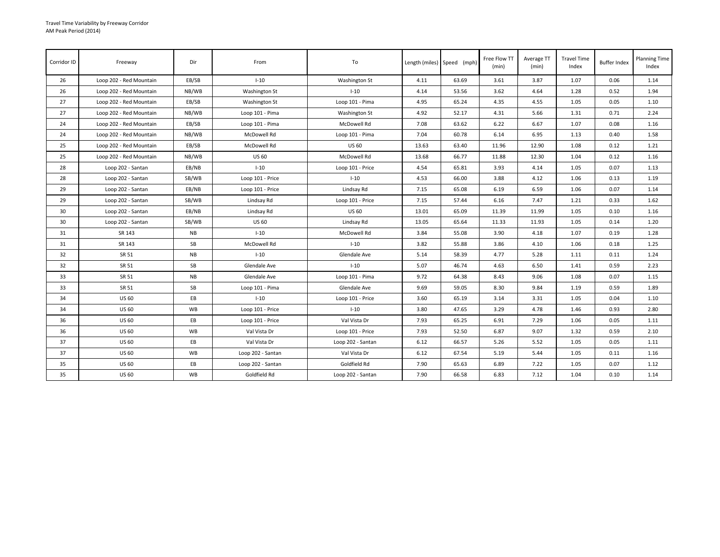| Corridor ID     | Freeway                 | Dir       | From              | To                   |       | Length (miles) Speed (mph) | Free Flow TT<br>(min) | Average TT<br>(min) | <b>Travel Time</b><br>Index | <b>Buffer Index</b> | <b>Planning Time</b><br>Index |
|-----------------|-------------------------|-----------|-------------------|----------------------|-------|----------------------------|-----------------------|---------------------|-----------------------------|---------------------|-------------------------------|
| 26              | Loop 202 - Red Mountain | EB/SB     | $I-10$            | Washington St        | 4.11  | 63.69                      | 3.61                  | 3.87                | 1.07                        | 0.06                | 1.14                          |
| 26              | Loop 202 - Red Mountain | NB/WB     | Washington St     | $I-10$               | 4.14  | 53.56                      | 3.62                  | 4.64                | 1.28                        | 0.52                | 1.94                          |
| 27              | Loop 202 - Red Mountain | EB/SB     | Washington St     | Loop 101 - Pima      | 4.95  | 65.24                      | 4.35                  | 4.55                | 1.05                        | 0.05                | 1.10                          |
| 27              | Loop 202 - Red Mountain | NB/WB     | Loop 101 - Pima   | <b>Washington St</b> | 4.92  | 52.17                      | 4.31                  | 5.66                | 1.31                        | 0.71                | 2.24                          |
| 24              | Loop 202 - Red Mountain | EB/SB     | Loop 101 - Pima   | McDowell Rd          | 7.08  | 63.62                      | 6.22                  | 6.67                | 1.07                        | 0.08                | 1.16                          |
| 24              | Loop 202 - Red Mountain | NB/WB     | McDowell Rd       | Loop 101 - Pima      | 7.04  | 60.78                      | 6.14                  | 6.95                | 1.13                        | 0.40                | 1.58                          |
| 25              | Loop 202 - Red Mountain | EB/SB     | McDowell Rd       | <b>US 60</b>         | 13.63 | 63.40                      | 11.96                 | 12.90               | 1.08                        | 0.12                | 1.21                          |
| 25              | Loop 202 - Red Mountain | NB/WB     | <b>US 60</b>      | McDowell Rd          | 13.68 | 66.77                      | 11.88                 | 12.30               | 1.04                        | 0.12                | 1.16                          |
| 28              | Loop 202 - Santan       | EB/NB     | $I-10$            | Loop 101 - Price     | 4.54  | 65.81                      | 3.93                  | 4.14                | 1.05                        | 0.07                | 1.13                          |
| 28              | Loop 202 - Santan       | SB/WB     | Loop 101 - Price  | $I-10$               | 4.53  | 66.00                      | 3.88                  | 4.12                | 1.06                        | 0.13                | 1.19                          |
| 29              | Loop 202 - Santan       | EB/NB     | Loop 101 - Price  | Lindsay Rd           | 7.15  | 65.08                      | 6.19                  | 6.59                | 1.06                        | 0.07                | 1.14                          |
| 29              | Loop 202 - Santan       | SB/WB     | Lindsay Rd        | Loop 101 - Price     | 7.15  | 57.44                      | 6.16                  | 7.47                | 1.21                        | 0.33                | 1.62                          |
| 30 <sup>°</sup> | Loop 202 - Santan       | EB/NB     | Lindsay Rd        | <b>US 60</b>         | 13.01 | 65.09                      | 11.39                 | 11.99               | 1.05                        | 0.10                | 1.16                          |
| 30              | Loop 202 - Santan       | SB/WB     | <b>US 60</b>      | Lindsay Rd           | 13.05 | 65.64                      | 11.33                 | 11.93               | 1.05                        | 0.14                | 1.20                          |
| 31              | SR 143                  | <b>NB</b> | $I-10$            | McDowell Rd          | 3.84  | 55.08                      | 3.90                  | 4.18                | 1.07                        | 0.19                | 1.28                          |
| 31              | SR 143                  | SB        | McDowell Rd       | $I-10$               | 3.82  | 55.88                      | 3.86                  | 4.10                | 1.06                        | 0.18                | 1.25                          |
| 32              | SR 51                   | NB        | $I-10$            | Glendale Ave         | 5.14  | 58.39                      | 4.77                  | 5.28                | 1.11                        | 0.11                | 1.24                          |
| 32              | SR 51                   | SB        | Glendale Ave      | $I-10$               | 5.07  | 46.74                      | 4.63                  | 6.50                | 1.41                        | 0.59                | 2.23                          |
| 33              | SR 51                   | <b>NB</b> | Glendale Ave      | Loop 101 - Pima      | 9.72  | 64.38                      | 8.43                  | 9.06                | 1.08                        | 0.07                | 1.15                          |
| 33              | SR 51                   | SB        | Loop 101 - Pima   | Glendale Ave         | 9.69  | 59.05                      | 8.30                  | 9.84                | 1.19                        | 0.59                | 1.89                          |
| 34              | <b>US 60</b>            | EB        | $1 - 10$          | Loop 101 - Price     | 3.60  | 65.19                      | 3.14                  | 3.31                | 1.05                        | 0.04                | 1.10                          |
| 34              | <b>US 60</b>            | WB        | Loop 101 - Price  | $I-10$               | 3.80  | 47.65                      | 3.29                  | 4.78                | 1.46                        | 0.93                | 2.80                          |
| 36              | <b>US 60</b>            | EB        | Loop 101 - Price  | Val Vista Dr         | 7.93  | 65.25                      | 6.91                  | 7.29                | 1.06                        | 0.05                | 1.11                          |
| 36              | <b>US 60</b>            | WB        | Val Vista Dr      | Loop 101 - Price     | 7.93  | 52.50                      | 6.87                  | 9.07                | 1.32                        | 0.59                | 2.10                          |
| 37              | <b>US 60</b>            | EB        | Val Vista Dr      | Loop 202 - Santan    | 6.12  | 66.57                      | 5.26                  | 5.52                | 1.05                        | 0.05                | 1.11                          |
| 37              | <b>US 60</b>            | WB        | Loop 202 - Santan | Val Vista Dr         | 6.12  | 67.54                      | 5.19                  | 5.44                | 1.05                        | 0.11                | 1.16                          |
| 35              | <b>US 60</b>            | EB        | Loop 202 - Santan | Goldfield Rd         | 7.90  | 65.63                      | 6.89                  | 7.22                | 1.05                        | 0.07                | 1.12                          |
| 35              | <b>US 60</b>            | WB        | Goldfield Rd      | Loop 202 - Santan    | 7.90  | 66.58                      | 6.83                  | 7.12                | 1.04                        | 0.10                | 1.14                          |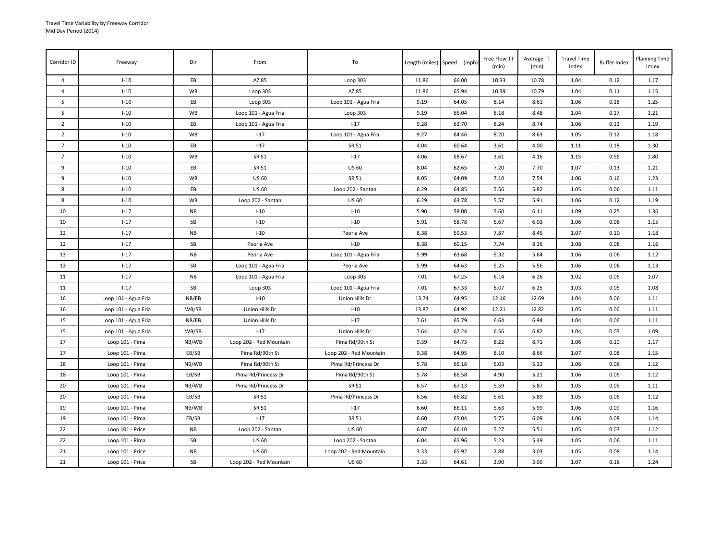| Corridor ID    | Freeway              | Dir       | From                    | To                      |       | Length (miles) Speed (mph) | Free Flow TT<br>(min) | Average TT<br>(min) | <b>Travel Time</b><br>Index | <b>Buffer Index</b> | <b>Planning Time</b><br>Index |
|----------------|----------------------|-----------|-------------------------|-------------------------|-------|----------------------------|-----------------------|---------------------|-----------------------------|---------------------|-------------------------------|
| $\overline{a}$ | $I-10$               | EB        | AZ 85                   | Loop 303                | 11.86 | 66.00                      | 10.33                 | 10.78               | 1.04                        | 0.12                | 1.17                          |
| $\overline{4}$ | $I-10$               | WB        | Loop 303                | AZ 85                   | 11.86 | 65.94                      | 10.39                 | 10.79               | 1.04                        | 0.11                | 1.15                          |
| 5              | $I-10$               | EB        | Loop 303                | Loop 101 - Agua Fria    | 9.19  | 64.05                      | 8.14                  | 8.61                | 1.06                        | 0.18                | 1.25                          |
| 5              | $I-10$               | WB        | Loop 101 - Agua Fria    | Loop 303                | 9.19  | 65.04                      | 8.18                  | 8.48                | 1.04                        | 0.17                | 1.21                          |
| $\overline{2}$ | $I-10$               | EB        | Loop 101 - Agua Fria    | $I - 17$                | 9.28  | 63.70                      | 8.24                  | 8.74                | 1.06                        | 0.12                | 1.19                          |
| $\overline{2}$ | $I-10$               | WB        | $I - 17$                | Loop 101 - Agua Fria    | 9.27  | 64.46                      | 8.20                  | 8.63                | 1.05                        | 0.12                | 1.18                          |
| $\overline{7}$ | $I-10$               | EB        | $I-17$                  | SR 51                   | 4.04  | 60.64                      | 3.61                  | 4.00                | 1.11                        | 0.18                | 1.30                          |
| $\overline{7}$ | $I-10$               | WB        | SR 51                   | $1 - 17$                | 4.06  | 58.67                      | 3.61                  | 4.16                | 1.15                        | 0.56                | 1.80                          |
| 9              | $I-10$               | EB        | SR 51                   | <b>US 60</b>            | 8.04  | 62.65                      | 7.20                  | 7.70                | 1.07                        | 0.13                | 1.21                          |
| 9              | $I-10$               | WB        | <b>US 60</b>            | SR 51                   | 8.05  | 64.09                      | 7.10                  | 7.54                | 1.06                        | 0.16                | 1.23                          |
| 8              | $I-10$               | EB        | <b>US 60</b>            | Loop 202 - Santan       | 6.29  | 64.85                      | 5.56                  | 5.82                | 1.05                        | 0.06                | 1.11                          |
| 8              | $I-10$               | WB        | Loop 202 - Santan       | <b>US 60</b>            | 6.29  | 63.78                      | 5.57                  | 5.91                | 1.06                        | 0.12                | 1.19                          |
| 10             | $1 - 17$             | <b>NB</b> | $I-10$                  | $I-10$                  | 5.90  | 58.00                      | 5.60                  | 6.11                | 1.09                        | 0.25                | 1.36                          |
| 10             | $I - 17$             | SB        | $I-10$                  | $I - 10$                | 5.91  | 58.78                      | 5.67                  | 6.03                | 1.06                        | 0.08                | 1.15                          |
| 12             | $1 - 17$             | <b>NB</b> | $I-10$                  | Peoria Ave              | 8.38  | 59.53                      | 7.87                  | 8.45                | 1.07                        | 0.10                | 1.18                          |
| 12             | $I - 17$             | SB        | Peoria Ave              | $I-10$                  | 8.38  | 60.15                      | 7.74                  | 8.36                | 1.08                        | 0.08                | 1.16                          |
| 13             | $I-17$               | <b>NB</b> | Peoria Ave              | Loop 101 - Agua Fria    | 5.99  | 63.68                      | 5.32                  | 5.64                | 1.06                        | 0.06                | 1.12                          |
| 13             | $I - 17$             | SB        | Loop 101 - Agua Fria    | Peoria Ave              | 5.99  | 64.63                      | 5.25                  | 5.56                | 1.06                        | 0.06                | 1.13                          |
| 11             | $I-17$               | <b>NB</b> | Loop 101 - Agua Fria    | Loop 303                | 7.01  | 67.25                      | 6.14                  | 6.26                | 1.02                        | 0.05                | 1.07                          |
| 11             | $1 - 17$             | SB        | Loop 303                | Loop 101 - Agua Fria    | 7.01  | 67.33                      | 6.07                  | 6.25                | 1.03                        | 0.05                | 1.08                          |
| 16             | Loop 101 - Agua Fria | NB/EB     | $I-10$                  | Union Hills Dr          | 13.74 | 64.95                      | 12.16                 | 12.69               | 1.04                        | 0.06                | 1.11                          |
| 16             | Loop 101 - Agua Fria | WB/SB     | Union Hills Dr          | $I-10$                  | 13.87 | 64.92                      | 12.21                 | 12.82               | 1.05                        | 0.06                | 1.11                          |
| 15             | Loop 101 - Agua Fria | NB/EB     | Union Hills Dr          | $1 - 17$                | 7.61  | 65.79                      | 6.64                  | 6.94                | 1.04                        | 0.06                | 1.11                          |
| 15             | Loop 101 - Agua Fria | WB/SB     | $I - 17$                | Union Hills Dr          | 7.64  | 67.24                      | 6.56                  | 6.82                | 1.04                        | 0.05                | 1.09                          |
| 17             | Loop 101 - Pima      | NB/WB     | Loop 202 - Red Mountain | Pima Rd/90th St         | 9.39  | 64.73                      | 8.22                  | 8.71                | 1.06                        | 0.10                | 1.17                          |
| 17             | Loop 101 - Pima      | EB/SB     | Pima Rd/90th St         | Loop 202 - Red Mountain | 9.38  | 64.95                      | 8.10                  | 8.66                | 1.07                        | 0.08                | 1.15                          |
| 18             | Loop 101 - Pima      | NB/WB     | Pima Rd/90th St         | Pima Rd/Princess Dr     | 5.78  | 65.16                      | 5.03                  | 5.32                | 1.06                        | 0.06                | 1.12                          |
| 18             | Loop 101 - Pima      | EB/SB     | Pima Rd/Princess Dr     | Pima Rd/90th St         | 5.78  | 66.58                      | 4.90                  | 5.21                | 1.06                        | 0.06                | 1.12                          |
| 20             | Loop 101 - Pima      | NB/WB     | Pima Rd/Princess Dr     | SR 51                   | 6.57  | 67.13                      | 5.59                  | 5.87                | 1.05                        | 0.05                | 1.11                          |
| 20             | Loop 101 - Pima      | EB/SB     | SR 51                   | Pima Rd/Princess Dr     | 6.56  | 66.82                      | 5.61                  | 5.89                | 1.05                        | 0.06                | 1.12                          |
| 19             | Loop 101 - Pima      | NB/WB     | SR 51                   | $I - 17$                | 6.60  | 66.11                      | 5.63                  | 5.99                | 1.06                        | 0.09                | 1.16                          |
| 19             | Loop 101 - Pima      | EB/SB     | $I-17$                  | SR 51                   | 6.60  | 65.04                      | 5.75                  | 6.09                | 1.06                        | 0.08                | 1.14                          |
| 22             | Loop 101 - Price     | <b>NB</b> | Loop 202 - Santan       | <b>US 60</b>            | 6.07  | 66.10                      | 5.27                  | 5.51                | 1.05                        | 0.07                | 1.12                          |
| 22             | Loop 101 - Pima      | SB        | <b>US 60</b>            | Loop 202 - Santan       | 6.04  | 65.96                      | 5.23                  | 5.49                | 1.05                        | 0.06                | 1.11                          |
| 21             | Loop 101 - Price     | <b>NB</b> | <b>US 60</b>            | Loop 202 - Red Mountain | 3.33  | 65.92                      | 2.88                  | 3.03                | 1.05                        | 0.08                | 1.14                          |
| 21             | Loop 101 - Price     | SB        | Loop 202 - Red Mountain | <b>US 60</b>            | 3.33  | 64.61                      | 2.90                  | 3.09                | 1.07                        | 0.16                | 1.24                          |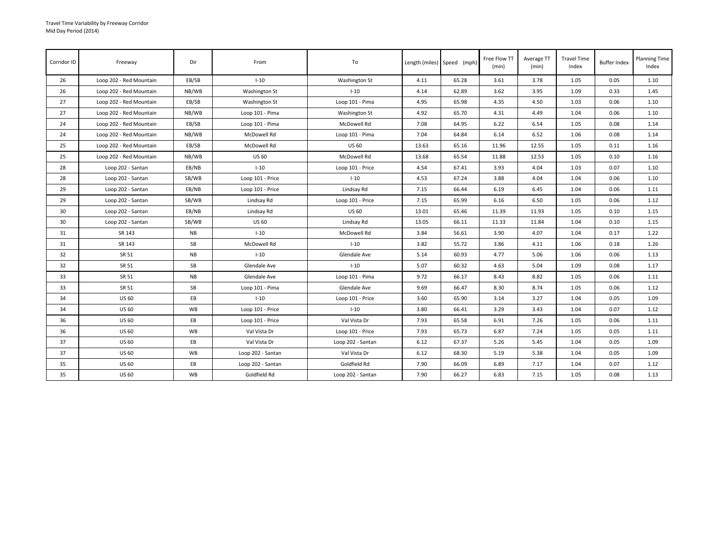| Corridor ID     | Freeway                 | Dir       | From              | To                   |       | Length (miles) Speed (mph) | Free Flow TT<br>(min) | Average TT<br>(min) | <b>Travel Time</b><br>Index | <b>Buffer Index</b> | <b>Planning Time</b><br>Index |
|-----------------|-------------------------|-----------|-------------------|----------------------|-------|----------------------------|-----------------------|---------------------|-----------------------------|---------------------|-------------------------------|
| 26              | Loop 202 - Red Mountain | EB/SB     | $I-10$            | Washington St        | 4.11  | 65.28                      | 3.61                  | 3.78                | 1.05                        | 0.05                | 1.10                          |
| 26              | Loop 202 - Red Mountain | NB/WB     | Washington St     | $I-10$               | 4.14  | 62.89                      | 3.62                  | 3.95                | 1.09                        | 0.33                | 1.45                          |
| 27              | Loop 202 - Red Mountain | EB/SB     | Washington St     | Loop 101 - Pima      | 4.95  | 65.98                      | 4.35                  | 4.50                | 1.03                        | 0.06                | 1.10                          |
| 27              | Loop 202 - Red Mountain | NB/WB     | Loop 101 - Pima   | <b>Washington St</b> | 4.92  | 65.70                      | 4.31                  | 4.49                | 1.04                        | 0.06                | 1.10                          |
| 24              | Loop 202 - Red Mountain | EB/SB     | Loop 101 - Pima   | McDowell Rd          | 7.08  | 64.95                      | 6.22                  | 6.54                | 1.05                        | 0.08                | 1.14                          |
| 24              | Loop 202 - Red Mountain | NB/WB     | McDowell Rd       | Loop 101 - Pima      | 7.04  | 64.84                      | 6.14                  | 6.52                | 1.06                        | 0.08                | 1.14                          |
| 25              | Loop 202 - Red Mountain | EB/SB     | McDowell Rd       | <b>US 60</b>         | 13.63 | 65.16                      | 11.96                 | 12.55               | 1.05                        | 0.11                | 1.16                          |
| 25              | Loop 202 - Red Mountain | NB/WB     | <b>US 60</b>      | McDowell Rd          | 13.68 | 65.54                      | 11.88                 | 12.53               | 1.05                        | 0.10                | 1.16                          |
| 28              | Loop 202 - Santan       | EB/NB     | $I-10$            | Loop 101 - Price     | 4.54  | 67.41                      | 3.93                  | 4.04                | 1.03                        | 0.07                | 1.10                          |
| 28              | Loop 202 - Santan       | SB/WB     | Loop 101 - Price  | $I-10$               | 4.53  | 67.24                      | 3.88                  | 4.04                | 1.04                        | 0.06                | 1.10                          |
| 29              | Loop 202 - Santan       | EB/NB     | Loop 101 - Price  | Lindsay Rd           | 7.15  | 66.44                      | 6.19                  | 6.45                | 1.04                        | 0.06                | 1.11                          |
| 29              | Loop 202 - Santan       | SB/WB     | Lindsay Rd        | Loop 101 - Price     | 7.15  | 65.99                      | 6.16                  | 6.50                | 1.05                        | 0.06                | 1.12                          |
| 30 <sup>°</sup> | Loop 202 - Santan       | EB/NB     | Lindsay Rd        | <b>US 60</b>         | 13.01 | 65.46                      | 11.39                 | 11.93               | 1.05                        | 0.10                | 1.15                          |
| 30              | Loop 202 - Santan       | SB/WB     | <b>US 60</b>      | Lindsay Rd           | 13.05 | 66.11                      | 11.33                 | 11.84               | 1.04                        | 0.10                | 1.15                          |
| 31              | SR 143                  | <b>NB</b> | $I-10$            | McDowell Rd          | 3.84  | 56.61                      | 3.90                  | 4.07                | 1.04                        | 0.17                | 1.22                          |
| 31              | SR 143                  | SB        | McDowell Rd       | $I-10$               | 3.82  | 55.72                      | 3.86                  | 4.11                | 1.06                        | 0.18                | 1.26                          |
| 32              | SR 51                   | NB        | $I-10$            | Glendale Ave         | 5.14  | 60.93                      | 4.77                  | 5.06                | 1.06                        | 0.06                | 1.13                          |
| 32              | SR 51                   | SB        | Glendale Ave      | $I-10$               | 5.07  | 60.32                      | 4.63                  | 5.04                | 1.09                        | 0.08                | 1.17                          |
| 33              | SR 51                   | <b>NB</b> | Glendale Ave      | Loop 101 - Pima      | 9.72  | 66.17                      | 8.43                  | 8.82                | 1.05                        | 0.06                | 1.11                          |
| 33              | SR 51                   | SB        | Loop 101 - Pima   | Glendale Ave         | 9.69  | 66.47                      | 8.30                  | 8.74                | 1.05                        | 0.06                | 1.12                          |
| 34              | <b>US 60</b>            | EB        | $1 - 10$          | Loop 101 - Price     | 3.60  | 65.90                      | 3.14                  | 3.27                | 1.04                        | 0.05                | 1.09                          |
| 34              | <b>US 60</b>            | WB        | Loop 101 - Price  | $I-10$               | 3.80  | 66.41                      | 3.29                  | 3.43                | 1.04                        | 0.07                | 1.12                          |
| 36              | <b>US 60</b>            | EB        | Loop 101 - Price  | Val Vista Dr         | 7.93  | 65.58                      | 6.91                  | 7.26                | 1.05                        | 0.06                | 1.11                          |
| 36              | <b>US 60</b>            | WB        | Val Vista Dr      | Loop 101 - Price     | 7.93  | 65.73                      | 6.87                  | 7.24                | 1.05                        | 0.05                | 1.11                          |
| 37              | <b>US 60</b>            | EB        | Val Vista Dr      | Loop 202 - Santan    | 6.12  | 67.37                      | 5.26                  | 5.45                | 1.04                        | 0.05                | 1.09                          |
| 37              | <b>US 60</b>            | WB        | Loop 202 - Santan | Val Vista Dr         | 6.12  | 68.30                      | 5.19                  | 5.38                | 1.04                        | 0.05                | 1.09                          |
| 35              | <b>US 60</b>            | EB        | Loop 202 - Santan | Goldfield Rd         | 7.90  | 66.09                      | 6.89                  | 7.17                | 1.04                        | 0.07                | 1.12                          |
| 35              | <b>US 60</b>            | WB        | Goldfield Rd      | Loop 202 - Santan    | 7.90  | 66.27                      | 6.83                  | 7.15                | 1.05                        | 0.08                | 1.13                          |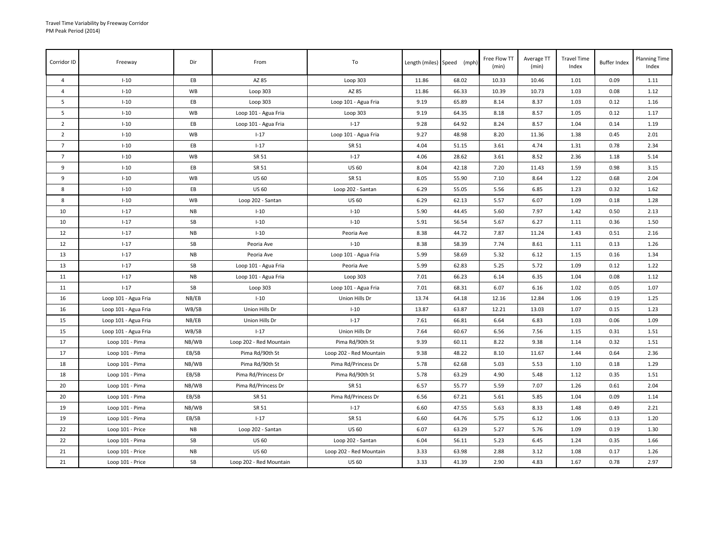| Corridor ID    | Freeway              | Dir       | From                    | To                      |       | Length (miles) Speed (mph) | Free Flow TT<br>(min) | Average TT<br>(min) | <b>Travel Time</b><br>Index | <b>Buffer Index</b> | <b>Planning Time</b><br>Index |
|----------------|----------------------|-----------|-------------------------|-------------------------|-------|----------------------------|-----------------------|---------------------|-----------------------------|---------------------|-------------------------------|
| $\overline{a}$ | $I-10$               | EB        | AZ 85                   | Loop 303                | 11.86 | 68.02                      | 10.33                 | 10.46               | 1.01                        | 0.09                | 1.11                          |
| $\overline{4}$ | $I-10$               | WB        | Loop 303                | AZ 85                   | 11.86 | 66.33                      | 10.39                 | 10.73               | 1.03                        | 0.08                | 1.12                          |
| 5              | $I-10$               | EB        | Loop 303                | Loop 101 - Agua Fria    | 9.19  | 65.89                      | 8.14                  | 8.37                | 1.03                        | 0.12                | 1.16                          |
| 5              | $I-10$               | WB        | Loop 101 - Agua Fria    | Loop 303                | 9.19  | 64.35                      | 8.18                  | 8.57                | 1.05                        | 0.12                | 1.17                          |
| $\overline{2}$ | $I-10$               | EB        | Loop 101 - Agua Fria    | $I - 17$                | 9.28  | 64.92                      | 8.24                  | 8.57                | 1.04                        | 0.14                | 1.19                          |
| $\overline{2}$ | $I-10$               | WB        | $I - 17$                | Loop 101 - Agua Fria    | 9.27  | 48.98                      | 8.20                  | 11.36               | 1.38                        | 0.45                | 2.01                          |
| $\overline{7}$ | $I-10$               | EB        | $I - 17$                | SR 51                   | 4.04  | 51.15                      | 3.61                  | 4.74                | 1.31                        | 0.78                | 2.34                          |
| $\overline{7}$ | $I-10$               | WB        | SR 51                   | $I - 17$                | 4.06  | 28.62                      | 3.61                  | 8.52                | 2.36                        | 1.18                | 5.14                          |
| 9              | $I-10$               | EB        | SR 51                   | US 60                   | 8.04  | 42.18                      | 7.20                  | 11.43               | 1.59                        | 0.98                | 3.15                          |
| 9              | $I-10$               | WB        | <b>US 60</b>            | SR 51                   | 8.05  | 55.90                      | 7.10                  | 8.64                | 1.22                        | 0.68                | 2.04                          |
| 8              | $I-10$               | EB        | <b>US 60</b>            | Loop 202 - Santan       | 6.29  | 55.05                      | 5.56                  | 6.85                | 1.23                        | 0.32                | 1.62                          |
| 8              | $I-10$               | WB        | Loop 202 - Santan       | <b>US 60</b>            | 6.29  | 62.13                      | 5.57                  | 6.07                | 1.09                        | 0.18                | 1.28                          |
| 10             | $1 - 17$             | <b>NB</b> | $I-10$                  | $I-10$                  | 5.90  | 44.45                      | 5.60                  | 7.97                | 1.42                        | 0.50                | 2.13                          |
| 10             | $1 - 17$             | SB        | $I-10$                  | $I-10$                  | 5.91  | 56.54                      | 5.67                  | 6.27                | 1.11                        | 0.36                | 1.50                          |
| 12             | $I-17$               | <b>NB</b> | $I-10$                  | Peoria Ave              | 8.38  | 44.72                      | 7.87                  | 11.24               | 1.43                        | 0.51                | 2.16                          |
| 12             | $I - 17$             | SB        | Peoria Ave              | $I-10$                  | 8.38  | 58.39                      | 7.74                  | 8.61                | 1.11                        | 0.13                | 1.26                          |
| 13             | $I - 17$             | <b>NB</b> | Peoria Ave              | Loop 101 - Agua Fria    | 5.99  | 58.69                      | 5.32                  | 6.12                | 1.15                        | 0.16                | 1.34                          |
| 13             | $I-17$               | SB        | Loop 101 - Agua Fria    | Peoria Ave              | 5.99  | 62.83                      | 5.25                  | 5.72                | 1.09                        | 0.12                | 1.22                          |
| 11             | $I - 17$             | <b>NB</b> | Loop 101 - Agua Fria    | Loop 303                | 7.01  | 66.23                      | 6.14                  | 6.35                | 1.04                        | 0.08                | 1.12                          |
| 11             | $1 - 17$             | SB        | Loop 303                | Loop 101 - Agua Fria    | 7.01  | 68.31                      | 6.07                  | 6.16                | 1.02                        | 0.05                | 1.07                          |
| 16             | Loop 101 - Agua Fria | NB/EB     | $I-10$                  | Union Hills Dr          | 13.74 | 64.18                      | 12.16                 | 12.84               | 1.06                        | 0.19                | 1.25                          |
| 16             | Loop 101 - Agua Fria | WB/SB     | Union Hills Dr          | $I-10$                  | 13.87 | 63.87                      | 12.21                 | 13.03               | 1.07                        | 0.15                | 1.23                          |
| 15             | Loop 101 - Agua Fria | NB/EB     | Union Hills Dr          | $1 - 17$                | 7.61  | 66.81                      | 6.64                  | 6.83                | 1.03                        | 0.06                | 1.09                          |
| 15             | Loop 101 - Agua Fria | WB/SB     | $1 - 17$                | Union Hills Dr          | 7.64  | 60.67                      | 6.56                  | 7.56                | 1.15                        | 0.31                | 1.51                          |
| 17             | Loop 101 - Pima      | NB/WB     | Loop 202 - Red Mountain | Pima Rd/90th St         | 9.39  | 60.11                      | 8.22                  | 9.38                | 1.14                        | 0.32                | 1.51                          |
| 17             | Loop 101 - Pima      | EB/SB     | Pima Rd/90th St         | Loop 202 - Red Mountain | 9.38  | 48.22                      | 8.10                  | 11.67               | 1.44                        | 0.64                | 2.36                          |
| 18             | Loop 101 - Pima      | NB/WB     | Pima Rd/90th St         | Pima Rd/Princess Dr     | 5.78  | 62.68                      | 5.03                  | 5.53                | 1.10                        | 0.18                | 1.29                          |
| 18             | Loop 101 - Pima      | EB/SB     | Pima Rd/Princess Dr     | Pima Rd/90th St         | 5.78  | 63.29                      | 4.90                  | 5.48                | 1.12                        | 0.35                | 1.51                          |
| 20             | Loop 101 - Pima      | NB/WB     | Pima Rd/Princess Dr     | SR 51                   | 6.57  | 55.77                      | 5.59                  | 7.07                | 1.26                        | 0.61                | 2.04                          |
| 20             | Loop 101 - Pima      | EB/SB     | SR 51                   | Pima Rd/Princess Dr     | 6.56  | 67.21                      | 5.61                  | 5.85                | 1.04                        | 0.09                | 1.14                          |
| 19             | Loop 101 - Pima      | NB/WB     | SR 51                   | $1 - 17$                | 6.60  | 47.55                      | 5.63                  | 8.33                | 1.48                        | 0.49                | 2.21                          |
| 19             | Loop 101 - Pima      | EB/SB     | $1 - 17$                | SR 51                   | 6.60  | 64.76                      | 5.75                  | 6.12                | 1.06                        | 0.13                | 1.20                          |
| 22             | Loop 101 - Price     | <b>NB</b> | Loop 202 - Santan       | <b>US 60</b>            | 6.07  | 63.29                      | 5.27                  | 5.76                | 1.09                        | 0.19                | 1.30                          |
| 22             | Loop 101 - Pima      | SB        | <b>US 60</b>            | Loop 202 - Santan       | 6.04  | 56.11                      | 5.23                  | 6.45                | 1.24                        | 0.35                | 1.66                          |
| 21             | Loop 101 - Price     | <b>NB</b> | <b>US 60</b>            | Loop 202 - Red Mountain | 3.33  | 63.98                      | 2.88                  | 3.12                | 1.08                        | 0.17                | 1.26                          |
| 21             | Loop 101 - Price     | SB        | Loop 202 - Red Mountain | <b>US 60</b>            | 3.33  | 41.39                      | 2.90                  | 4.83                | 1.67                        | 0.78                | 2.97                          |